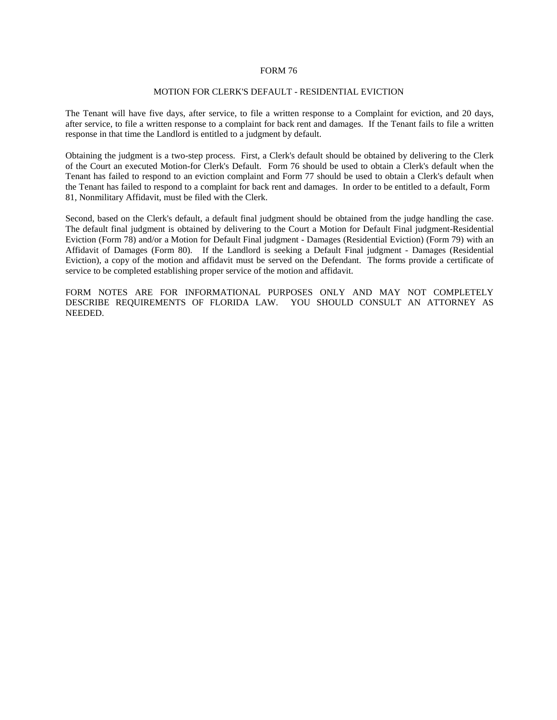### FORM 76

### MOTION FOR CLERK'S DEFAULT - RESIDENTIAL EVICTION

The Tenant will have five days, after service, to file a written response to a Complaint for eviction, and 20 days, after service, to file a written response to a complaint for back rent and damages. If the Tenant fails to file a written response in that time the Landlord is entitled to a judgment by default.

Obtaining the judgment is a two-step process. First, a Clerk's default should be obtained by delivering to the Clerk of the Court an executed Motion-for Clerk's Default. Form 76 should be used to obtain a Clerk's default when the Tenant has failed to respond to an eviction complaint and Form 77 should be used to obtain a Clerk's default when the Tenant has failed to respond to a complaint for back rent and damages. In order to be entitled to a default, Form 81, Nonmilitary Affidavit, must be filed with the Clerk.

Second, based on the Clerk's default, a default final judgment should be obtained from the judge handling the case. The default final judgment is obtained by delivering to the Court a Motion for Default Final judgment-Residential Eviction (Form 78) and/or a Motion for Default Final judgment - Damages (Residential Eviction) (Form 79) with an Affidavit of Damages (Form 80). If the Landlord is seeking a Default Final judgment - Damages (Residential Eviction), a copy of the motion and affidavit must be served on the Defendant. The forms provide a certificate of service to be completed establishing proper service of the motion and affidavit.

FORM NOTES ARE FOR INFORMATIONAL PURPOSES ONLY AND MAY NOT COMPLETELY DESCRIBE REQUIREMENTS OF FLORIDA LAW. YOU SHOULD CONSULT AN ATTORNEY AS NEEDED.